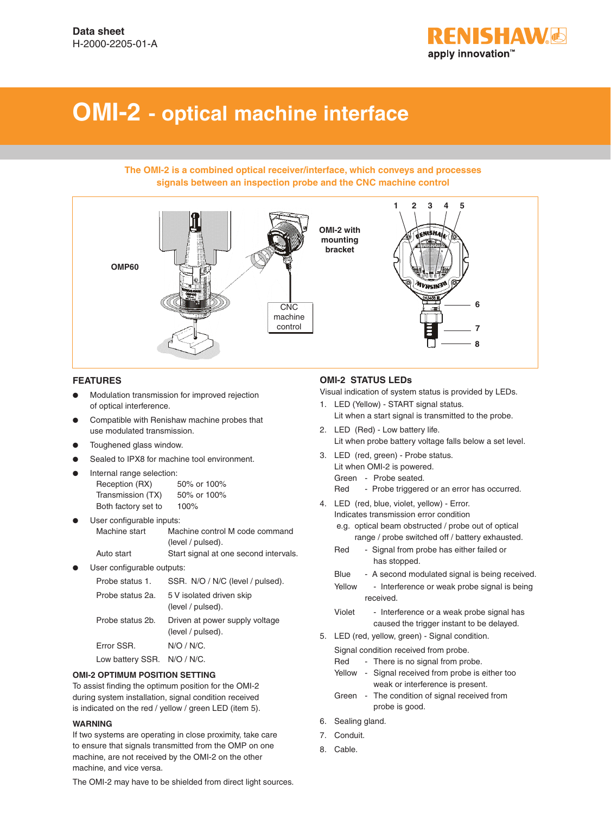

# **OMI-2 - optical machine interface**

#### **The OMI-2 is a combined optical receiver/interface, which conveys and processes signals between an inspection probe and the CNC machine control**



#### **FEATURES**

- Modulation transmission for improved rejection of optical interference.
- Compatible with Renishaw machine probes that use modulated transmission.
- Toughened glass window.
- Sealed to IPX8 for machine tool environment.
- Internal range selection:

| Reception (RX)      | 50% or 100% |
|---------------------|-------------|
| Transmission (TX)   | 50% or 100% |
| Both factory set to | 100%        |

- User configurable inputs: Machine start Machine control M code command (level / pulsed). Auto start Start signal at one second intervals.
- User configurable outputs:

| Probe status 1.  | SSR. N/O / N/C (level / pulsed).                    |
|------------------|-----------------------------------------------------|
| Probe status 2a. | 5 V isolated driven skip<br>(level / pulsed).       |
| Probe status 2b. | Driven at power supply voltage<br>(level / pulsed). |
| Error SSR.       | N/O / N/C.                                          |
| Low battery SSR. | $N/O / N/C$ .                                       |

#### **OMI-2 OPTIMUM POSITION SETTING**

To assist finding the optimum position for the OMI-2 during system installation, signal condition received is indicated on the red / yellow / green LED (item 5).

#### **WARNING**

If two systems are operating in close proximity, take care to ensure that signals transmitted from the OMP on one machine, are not received by the OMI-2 on the other machine, and vice versa.

The OMI-2 may have to be shielded from direct light sources.

### **OMI-2 STATUS LEDs**

Visual indication of system status is provided by LEDs.

- 1. LED (Yellow) START signal status. Lit when a start signal is transmitted to the probe.
- 2. LED (Red) Low battery life. Lit when probe battery voltage falls below a set level.
- 3. LED (red, green) Probe status. Lit when OMI-2 is powered.
	- Green Probe seated.
	- Red Probe triggered or an error has occurred.
- 4. LED (red, blue, violet, yellow) Error. Indicates transmission error condition e.g. optical beam obstructed / probe out of optical
	- range / probe switched off / battery exhausted.
	- Red Signal from probe has either failed or has stopped.
	- Blue A second modulated signal is being received.
	- Yellow Interference or weak probe signal is being received.
	- Violet Interference or a weak probe signal has caused the trigger instant to be delayed.
- 5. LED (red, yellow, green) Signal condition.

Signal condition received from probe.

- Red There is no signal from probe. Yellow - Signal received from probe is either too weak or interference is present.
- Green The condition of signal received from probe is good.
- 6. Sealing gland.
- 7. Conduit.
- 8. Cable.